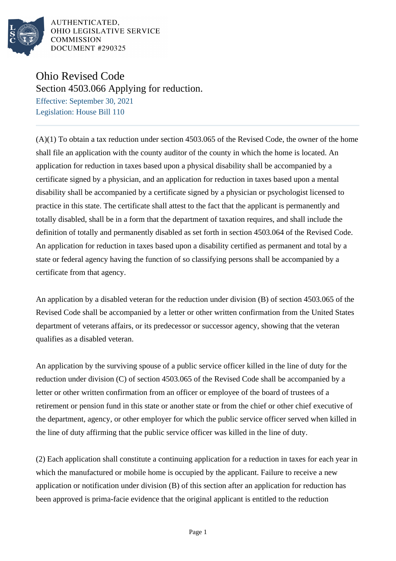

## Ohio Revised Code

Section 4503.066 Applying for reduction.

Effective: September 30, 2021 Legislation: House Bill 110

(A)(1) To obtain a tax reduction under section 4503.065 of the Revised Code, the owner of the home shall file an application with the county auditor of the county in which the home is located. An application for reduction in taxes based upon a physical disability shall be accompanied by a certificate signed by a physician, and an application for reduction in taxes based upon a mental disability shall be accompanied by a certificate signed by a physician or psychologist licensed to practice in this state. The certificate shall attest to the fact that the applicant is permanently and totally disabled, shall be in a form that the department of taxation requires, and shall include the definition of totally and permanently disabled as set forth in section 4503.064 of the Revised Code. An application for reduction in taxes based upon a disability certified as permanent and total by a state or federal agency having the function of so classifying persons shall be accompanied by a certificate from that agency.

An application by a disabled veteran for the reduction under division (B) of section 4503.065 of the Revised Code shall be accompanied by a letter or other written confirmation from the United States department of veterans affairs, or its predecessor or successor agency, showing that the veteran qualifies as a disabled veteran.

An application by the surviving spouse of a public service officer killed in the line of duty for the reduction under division (C) of section 4503.065 of the Revised Code shall be accompanied by a letter or other written confirmation from an officer or employee of the board of trustees of a retirement or pension fund in this state or another state or from the chief or other chief executive of the department, agency, or other employer for which the public service officer served when killed in the line of duty affirming that the public service officer was killed in the line of duty.

(2) Each application shall constitute a continuing application for a reduction in taxes for each year in which the manufactured or mobile home is occupied by the applicant. Failure to receive a new application or notification under division (B) of this section after an application for reduction has been approved is prima-facie evidence that the original applicant is entitled to the reduction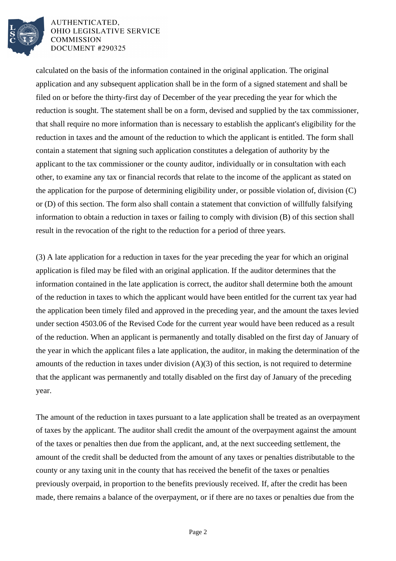

calculated on the basis of the information contained in the original application. The original application and any subsequent application shall be in the form of a signed statement and shall be filed on or before the thirty-first day of December of the year preceding the year for which the reduction is sought. The statement shall be on a form, devised and supplied by the tax commissioner, that shall require no more information than is necessary to establish the applicant's eligibility for the reduction in taxes and the amount of the reduction to which the applicant is entitled. The form shall contain a statement that signing such application constitutes a delegation of authority by the applicant to the tax commissioner or the county auditor, individually or in consultation with each other, to examine any tax or financial records that relate to the income of the applicant as stated on the application for the purpose of determining eligibility under, or possible violation of, division (C) or (D) of this section. The form also shall contain a statement that conviction of willfully falsifying information to obtain a reduction in taxes or failing to comply with division (B) of this section shall result in the revocation of the right to the reduction for a period of three years.

(3) A late application for a reduction in taxes for the year preceding the year for which an original application is filed may be filed with an original application. If the auditor determines that the information contained in the late application is correct, the auditor shall determine both the amount of the reduction in taxes to which the applicant would have been entitled for the current tax year had the application been timely filed and approved in the preceding year, and the amount the taxes levied under section 4503.06 of the Revised Code for the current year would have been reduced as a result of the reduction. When an applicant is permanently and totally disabled on the first day of January of the year in which the applicant files a late application, the auditor, in making the determination of the amounts of the reduction in taxes under division (A)(3) of this section, is not required to determine that the applicant was permanently and totally disabled on the first day of January of the preceding year.

The amount of the reduction in taxes pursuant to a late application shall be treated as an overpayment of taxes by the applicant. The auditor shall credit the amount of the overpayment against the amount of the taxes or penalties then due from the applicant, and, at the next succeeding settlement, the amount of the credit shall be deducted from the amount of any taxes or penalties distributable to the county or any taxing unit in the county that has received the benefit of the taxes or penalties previously overpaid, in proportion to the benefits previously received. If, after the credit has been made, there remains a balance of the overpayment, or if there are no taxes or penalties due from the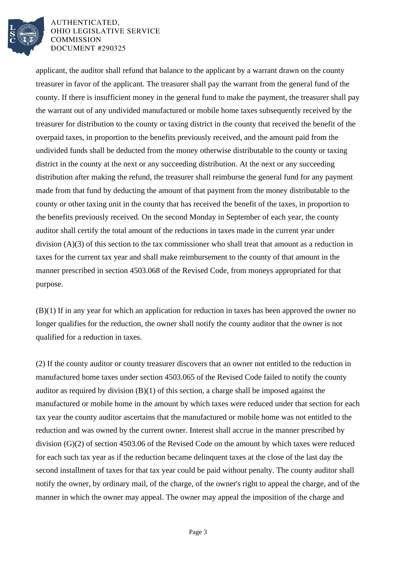

applicant, the auditor shall refund that balance to the applicant by a warrant drawn on the county treasurer in favor of the applicant. The treasurer shall pay the warrant from the general fund of the county. If there is insufficient money in the general fund to make the payment, the treasurer shall pay the warrant out of any undivided manufactured or mobile home taxes subsequently received by the treasurer for distribution to the county or taxing district in the county that received the benefit of the overpaid taxes, in proportion to the benefits previously received, and the amount paid from the undivided funds shall be deducted from the money otherwise distributable to the county or taxing district in the county at the next or any succeeding distribution. At the next or any succeeding distribution after making the refund, the treasurer shall reimburse the general fund for any payment made from that fund by deducting the amount of that payment from the money distributable to the county or other taxing unit in the county that has received the benefit of the taxes, in proportion to the benefits previously received. On the second Monday in September of each year, the county auditor shall certify the total amount of the reductions in taxes made in the current year under division (A)(3) of this section to the tax commissioner who shall treat that amount as a reduction in taxes for the current tax year and shall make reimbursement to the county of that amount in the manner prescribed in section 4503.068 of the Revised Code, from moneys appropriated for that purpose.

(B)(1) If in any year for which an application for reduction in taxes has been approved the owner no longer qualifies for the reduction, the owner shall notify the county auditor that the owner is not qualified for a reduction in taxes.

(2) If the county auditor or county treasurer discovers that an owner not entitled to the reduction in manufactured home taxes under section 4503.065 of the Revised Code failed to notify the county auditor as required by division (B)(1) of this section, a charge shall be imposed against the manufactured or mobile home in the amount by which taxes were reduced under that section for each tax year the county auditor ascertains that the manufactured or mobile home was not entitled to the reduction and was owned by the current owner. Interest shall accrue in the manner prescribed by division (G)(2) of section 4503.06 of the Revised Code on the amount by which taxes were reduced for each such tax year as if the reduction became delinquent taxes at the close of the last day the second installment of taxes for that tax year could be paid without penalty. The county auditor shall notify the owner, by ordinary mail, of the charge, of the owner's right to appeal the charge, and of the manner in which the owner may appeal. The owner may appeal the imposition of the charge and